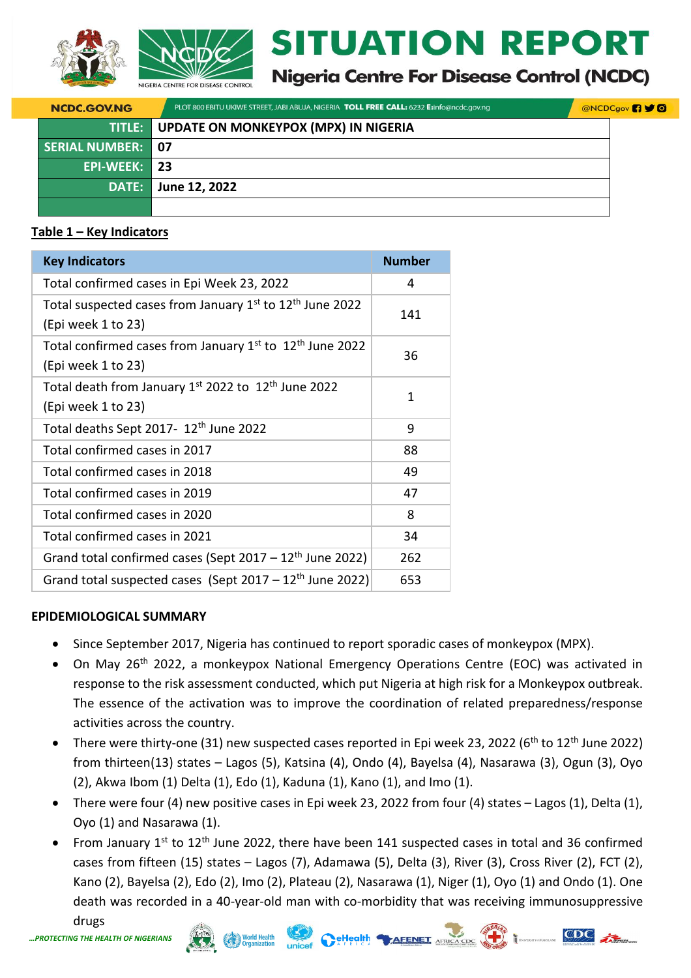



# **ITUATION REPORT**

**Nigeria Centre For Disease Control (NCDC)** 

 $9<sup>°</sup>$ 

| <b>NCDC.GOV.NG</b>       | PLOT 800 EBITU UKIWE STREET, JABI ABUJA, NIGERIA <b>TOLL FREE CALL:</b> 6232 E:info@ncdc.gov.ng | <b>@NCDCgov</b> |
|--------------------------|-------------------------------------------------------------------------------------------------|-----------------|
|                          | <b>TITLE:</b> UPDATE ON MONKEYPOX (MPX) IN NIGERIA                                              |                 |
| <b>SERIAL NUMBER: 07</b> |                                                                                                 |                 |
| EPI-WEEK: 23             |                                                                                                 |                 |
| DATE:                    | June 12, 2022                                                                                   |                 |
|                          |                                                                                                 |                 |

# **Table 1 – Key Indicators**

| <b>Key Indicators</b>                                                                                  | <b>Number</b> |
|--------------------------------------------------------------------------------------------------------|---------------|
| Total confirmed cases in Epi Week 23, 2022                                                             | 4             |
| Total suspected cases from January 1st to 12 <sup>th</sup> June 2022<br>(Epi week 1 to 23)             | 141           |
| Total confirmed cases from January 1 <sup>st</sup> to 12 <sup>th</sup> June 2022<br>(Epi week 1 to 23) | 36            |
| Total death from January 1st 2022 to 12 <sup>th</sup> June 2022<br>(Epi week 1 to 23)                  | 1             |
| Total deaths Sept 2017- 12th June 2022                                                                 | 9             |
| Total confirmed cases in 2017                                                                          | 88            |
| Total confirmed cases in 2018                                                                          | 49            |
| Total confirmed cases in 2019                                                                          | 47            |
| Total confirmed cases in 2020                                                                          | 8             |
| Total confirmed cases in 2021                                                                          | 34            |
| Grand total confirmed cases (Sept $2017 - 12$ <sup>th</sup> June 2022)                                 | 262           |
| Grand total suspected cases (Sept 2017 - 12 <sup>th</sup> June 2022)                                   | 653           |

# **EPIDEMIOLOGICAL SUMMARY**

- Since September 2017, Nigeria has continued to report sporadic cases of monkeypox (MPX).
- On May 26<sup>th</sup> 2022, a monkeypox National Emergency Operations Centre (EOC) was activated in response to the risk assessment conducted, which put Nigeria at high risk for a Monkeypox outbreak. The essence of the activation was to improve the coordination of related preparedness/response activities across the country.
- There were thirty-one (31) new suspected cases reported in Epi week 23, 2022 (6<sup>th</sup> to 12<sup>th</sup> June 2022) from thirteen(13) states – Lagos (5), Katsina (4), Ondo (4), Bayelsa (4), Nasarawa (3), Ogun (3), Oyo (2), Akwa Ibom (1) Delta (1), Edo (1), Kaduna (1), Kano (1), and Imo (1).
- There were four (4) new positive cases in Epi week 23, 2022 from four (4) states Lagos (1), Delta (1), Oyo (1) and Nasarawa (1).
- From January  $1^{st}$  to  $12^{th}$  June 2022, there have been 141 suspected cases in total and 36 confirmed cases from fifteen (15) states – Lagos (7), Adamawa (5), Delta (3), River (3), Cross River (2), FCT (2), Kano (2), Bayelsa (2), Edo (2), Imo (2), Plateau (2), Nasarawa (1), Niger (1), Oyo (1) and Ondo (1). One death was recorded in a 40-year-old man with co-morbidity that was receiving immunosuppressive

CeHealth TAFENET AFRICA CDC

*…PROTECTING THE HEALTH OF* 

drugs

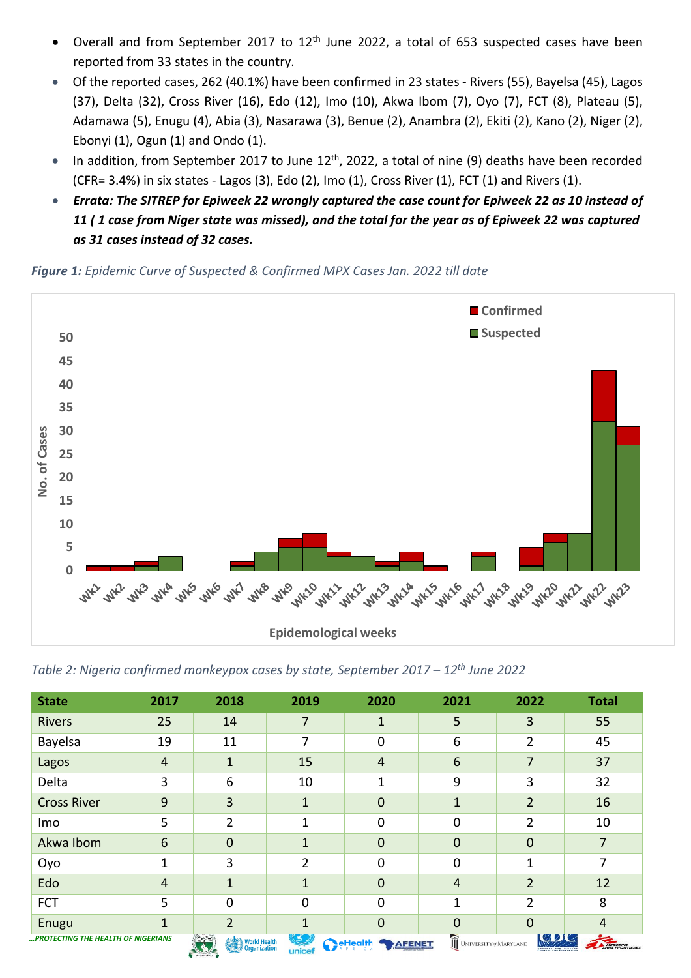- Overall and from September 2017 to  $12<sup>th</sup>$  June 2022, a total of 653 suspected cases have been reported from 33 states in the country.
- Of the reported cases, 262 (40.1%) have been confirmed in 23 states Rivers (55), Bayelsa (45), Lagos (37), Delta (32), Cross River (16), Edo (12), Imo (10), Akwa Ibom (7), Oyo (7), FCT (8), Plateau (5), Adamawa (5), Enugu (4), Abia (3), Nasarawa (3), Benue (2), Anambra (2), Ekiti (2), Kano (2), Niger (2), Ebonyi (1), Ogun (1) and Ondo (1).
- In addition, from September 2017 to June  $12<sup>th</sup>$ , 2022, a total of nine (9) deaths have been recorded (CFR= 3.4%) in six states - Lagos (3), Edo (2), Imo (1), Cross River (1), FCT (1) and Rivers (1).
- *Errata: The SITREP for Epiweek 22 wrongly captured the case count for Epiweek 22 as 10 instead of 11 ( 1 case from Niger state was missed), and the total for the year as of Epiweek 22 was captured as 31 cases instead of 32 cases.*

*Figure 1: Epidemic Curve of Suspected & Confirmed MPX Cases Jan. 2022 till date*



*Table 2: Nigeria confirmed monkeypox cases by state, September 2017 – 12th June 2022*

| <b>State</b>                              | 2017            | 2018                                         | 2019                 | 2020                             | 2021                   | 2022           | <b>Total</b>   |
|-------------------------------------------|-----------------|----------------------------------------------|----------------------|----------------------------------|------------------------|----------------|----------------|
| <b>Rivers</b>                             | 25              | 14                                           | 7                    | 1                                | 5                      | 3              | 55             |
| Bayelsa                                   | 19              | 11                                           | 7                    | 0                                | 6                      | 2              | 45             |
| Lagos                                     | $\overline{4}$  | 1                                            | 15                   | $\overline{4}$                   | 6                      | 7              | 37             |
| Delta                                     | 3               | 6                                            | 10                   | 1                                | 9                      | 3              | 32             |
| <b>Cross River</b>                        | $\overline{9}$  | 3                                            | $\mathbf{1}$         | $\mathbf 0$                      | $\mathbf{1}$           | $\overline{2}$ | 16             |
| Imo                                       | 5               | $\overline{2}$                               | 1                    | $\mathbf 0$                      | $\mathbf 0$            | 2              | 10             |
| Akwa Ibom                                 | $6\phantom{1}6$ | 0                                            | 1                    | $\overline{0}$                   | $\mathbf 0$            | $\mathbf 0$    | 7              |
| Oyo                                       | 1               | 3                                            | $\overline{2}$       | $\mathbf 0$                      | $\mathbf 0$            | 1              | 7              |
| Edo                                       | $\overline{4}$  | 1                                            | $\mathbf{1}$         | $\mathbf 0$                      | $\overline{4}$         | $\overline{2}$ | 12             |
| <b>FCT</b>                                | 5               | 0                                            | 0                    | $\mathbf 0$                      |                        | 2              | 8              |
| Enugu                                     | $\mathbf{1}$    | 2                                            | 1                    | $\overline{0}$                   | 0                      | $\Omega$       | $\overline{4}$ |
| <b>PROTECTING THE HEALTH OF NIGERIANS</b> |                 | $7 - 7$<br>World Health<br><b>CONTRACTOR</b> | $\sqrt{2}$<br>unicef | <b>ReHealth</b><br><b>AFENET</b> | UNIVERSITY of MARYLAND | <b>LEADLY</b>  | MEDECINS       |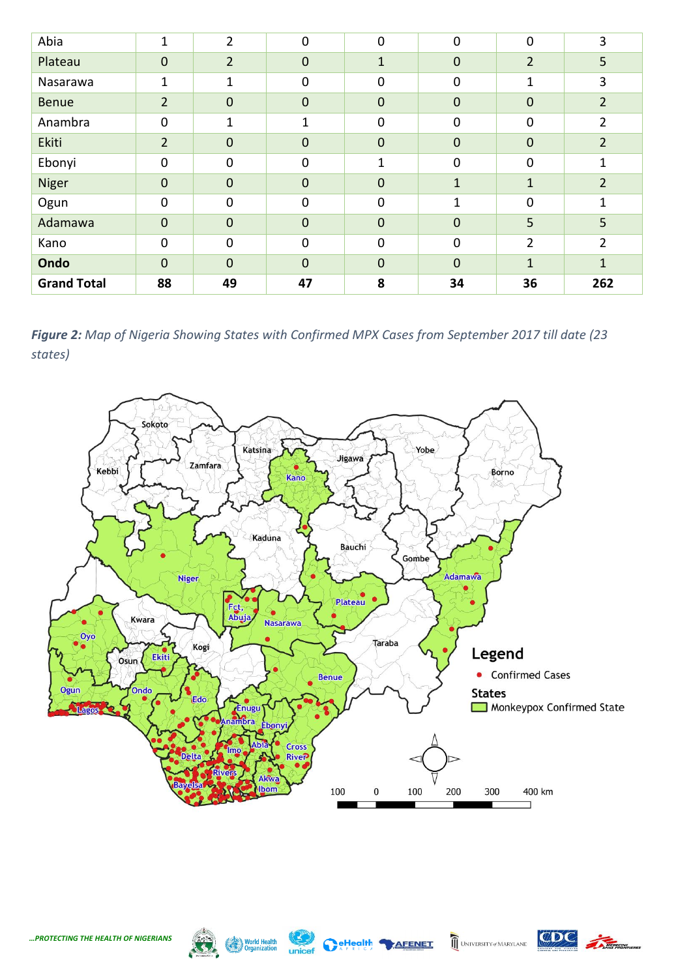| Abia               | 1              | $\overline{2}$ | 0              | $\mathbf 0$    | $\mathbf 0$  | $\overline{0}$ | 3              |
|--------------------|----------------|----------------|----------------|----------------|--------------|----------------|----------------|
| Plateau            | $\mathbf 0$    | $\overline{2}$ | $\mathbf 0$    | $\overline{1}$ | $\mathbf 0$  | $\overline{2}$ | 5              |
| Nasarawa           | 1              | 1              | 0              | $\mathbf 0$    | $\mathbf 0$  | 1              | 3              |
| <b>Benue</b>       | $\overline{2}$ | $\mathbf 0$    | $\mathbf 0$    | $\mathbf 0$    | $\mathbf 0$  | $\mathbf 0$    | $\overline{2}$ |
| Anambra            | $\mathbf 0$    | 1              | 1              | $\mathbf 0$    | $\mathbf 0$  | $\mathbf 0$    | 2              |
| Ekiti              | $\overline{2}$ | $\pmb{0}$      | $\mathbf 0$    | $\mathbf 0$    | $\mathbf 0$  | $\mathbf 0$    | $\overline{2}$ |
| Ebonyi             | $\mathbf 0$    | 0              | 0              | $\overline{1}$ | $\mathbf 0$  | $\mathbf 0$    | $\overline{1}$ |
| Niger              | $\mathbf 0$    | $\mathbf 0$    | $\overline{0}$ | $\mathbf 0$    | $\mathbf{1}$ | $\mathbf{1}$   | $\overline{2}$ |
| Ogun               | $\mathbf 0$    | $\mathbf 0$    | $\mathbf 0$    | $\mathbf 0$    | $\mathbf{1}$ | $\overline{0}$ | 1              |
| Adamawa            | $\mathbf{0}$   | $\mathbf 0$    | $\overline{0}$ | $\mathbf 0$    | $\mathbf 0$  | 5              | 5              |
| Kano               | $\mathbf 0$    | $\mathbf 0$    | $\Omega$       | $\mathbf 0$    | $\mathbf 0$  | $\overline{2}$ | $\overline{2}$ |
| Ondo               | $\overline{0}$ | $\mathbf 0$    | $\overline{0}$ | $\mathbf 0$    | $\mathbf 0$  | $\mathbf{1}$   | $\mathbf{1}$   |
| <b>Grand Total</b> | 88             | 49             | 47             | 8              | 34           | 36             | 262            |

*Figure 2: Map of Nigeria Showing States with Confirmed MPX Cases from September 2017 till date (23 states)*





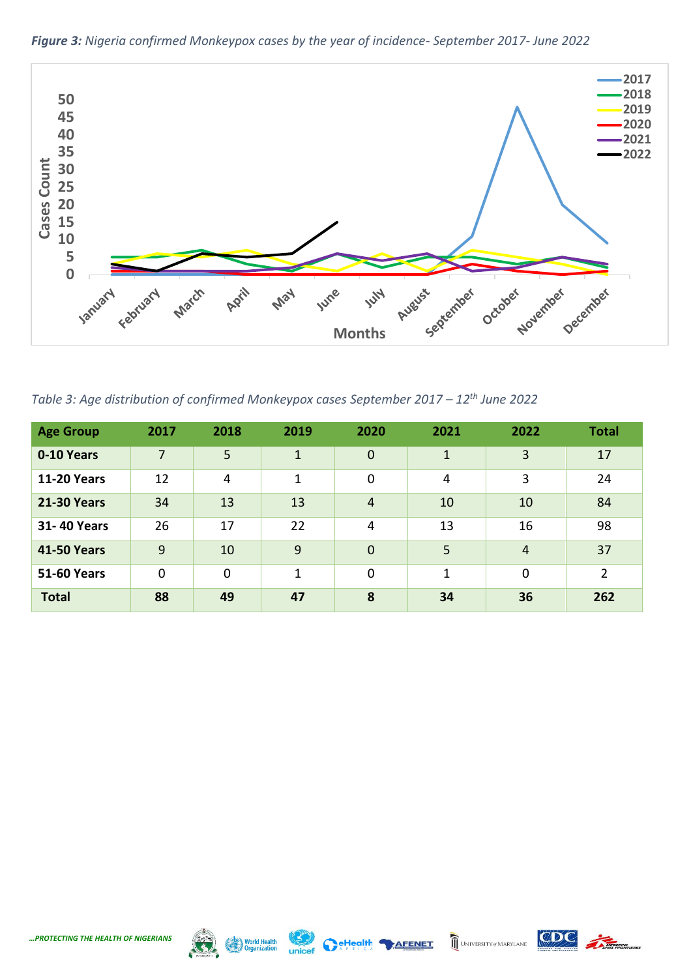

*Figure 3: Nigeria confirmed Monkeypox cases by the year of incidence- September 2017- June 2022*

*Table 3: Age distribution of confirmed Monkeypox cases September 2017 – 12th June 2022*

| <b>Age Group</b>   | 2017           | 2018           | 2019         | 2020           | 2021         | 2022           | <b>Total</b>   |
|--------------------|----------------|----------------|--------------|----------------|--------------|----------------|----------------|
| 0-10 Years         | $\overline{7}$ | 5              | $\mathbf{1}$ | $\overline{0}$ | $\mathbf{1}$ | 3              | 17             |
| <b>11-20 Years</b> | 12             | $\overline{4}$ | 1            | $\mathbf 0$    | 4            | 3              | 24             |
| <b>21-30 Years</b> | 34             | 13             | 13           | $\overline{4}$ | 10           | 10             | 84             |
| <b>31-40 Years</b> | 26             | 17             | 22           | $\overline{4}$ | 13           | 16             | 98             |
| <b>41-50 Years</b> | 9              | 10             | 9            | $\overline{0}$ | 5            | $\overline{4}$ | 37             |
| <b>51-60 Years</b> | $\mathbf 0$    | $\mathbf 0$    | 1            | $\mathbf 0$    | 1            | 0              | $\overline{2}$ |
| <b>Total</b>       | 88             | 49             | 47           | 8              | 34           | 36             | 262            |



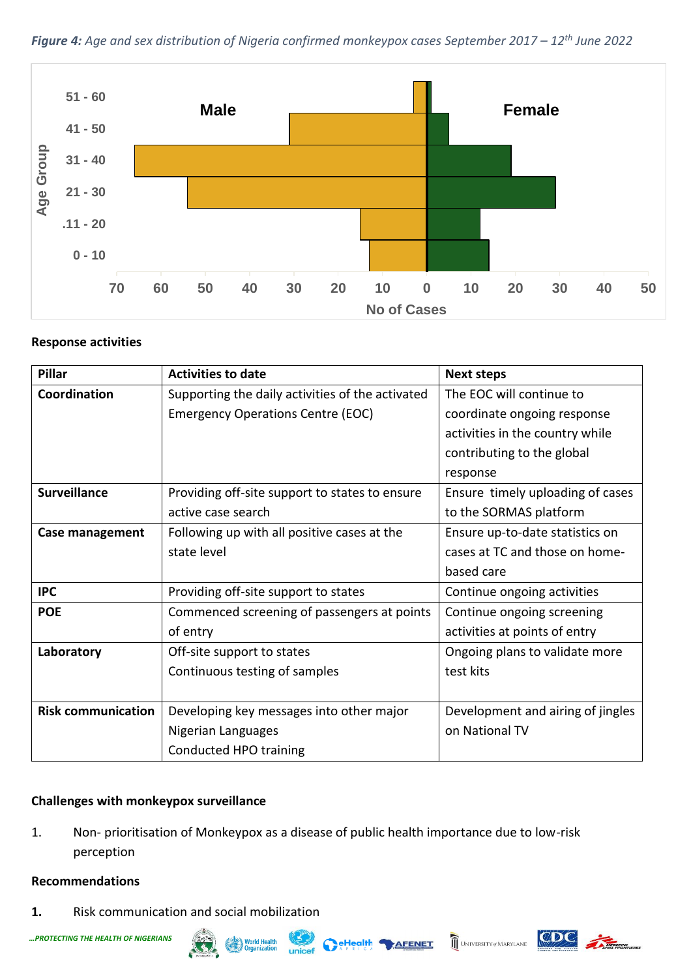*Figure 4: Age and sex distribution of Nigeria confirmed monkeypox cases September 2017 – 12th June 2022*



## **Response activities**

| <b>Pillar</b>             | <b>Activities to date</b>                        | <b>Next steps</b>                 |
|---------------------------|--------------------------------------------------|-----------------------------------|
| Coordination              | Supporting the daily activities of the activated | The EOC will continue to          |
|                           | <b>Emergency Operations Centre (EOC)</b>         | coordinate ongoing response       |
|                           |                                                  | activities in the country while   |
|                           |                                                  | contributing to the global        |
|                           |                                                  | response                          |
| <b>Surveillance</b>       | Providing off-site support to states to ensure   | Ensure timely uploading of cases  |
|                           | active case search                               | to the SORMAS platform            |
| Case management           | Following up with all positive cases at the      | Ensure up-to-date statistics on   |
|                           | state level                                      | cases at TC and those on home-    |
|                           |                                                  | based care                        |
| <b>IPC</b>                | Providing off-site support to states             | Continue ongoing activities       |
| <b>POE</b>                | Commenced screening of passengers at points      | Continue ongoing screening        |
|                           | of entry                                         | activities at points of entry     |
| Laboratory                | Off-site support to states                       | Ongoing plans to validate more    |
|                           | Continuous testing of samples                    | test kits                         |
|                           |                                                  |                                   |
| <b>Risk communication</b> | Developing key messages into other major         | Development and airing of jingles |
|                           | Nigerian Languages                               | on National TV                    |
|                           | Conducted HPO training                           |                                   |

# **Challenges with monkeypox surveillance**

1. Non- prioritisation of Monkeypox as a disease of public health importance due to low-risk perception

#### **Recommendations**

**1.** Risk communication and social mobilization